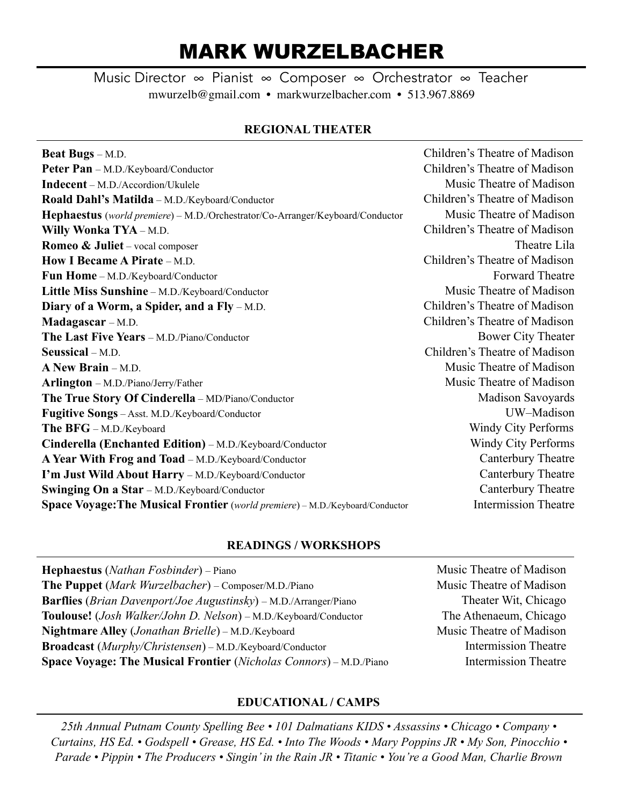# MARK WURZELBACHER

Music Director ∞ Pianist ∞ Composer ∞ Orchestrator ∞ Teacher mwurzelb@gmail.com • markwurzelbacher.com • 513.967.8869

## **REGIONAL THEATER**

| <b>Beat Bugs</b> – M.D.                                                               | Children's Theatre of Madison |
|---------------------------------------------------------------------------------------|-------------------------------|
|                                                                                       |                               |
| Peter Pan - M.D./Keyboard/Conductor                                                   | Children's Theatre of Madison |
| <b>Indecent</b> – M.D./Accordion/Ukulele                                              | Music Theatre of Madison      |
| Roald Dahl's Matilda - M.D./Keyboard/Conductor                                        | Children's Theatre of Madison |
| <b>Hephaestus</b> (world premiere) – M.D./Orchestrator/Co-Arranger/Keyboard/Conductor | Music Theatre of Madison      |
| Willy Wonka TYA - M.D.                                                                | Children's Theatre of Madison |
| <b>Romeo &amp; Juliet</b> – vocal composer                                            | Theatre Lila                  |
| How I Became A Pirate – M.D.                                                          | Children's Theatre of Madison |
| Fun Home - M.D./Keyboard/Conductor                                                    | Forward Theatre               |
| Little Miss Sunshine - M.D./Keyboard/Conductor                                        | Music Theatre of Madison      |
| Diary of a Worm, a Spider, and a Fly – M.D.                                           | Children's Theatre of Madison |
| Madagascar – M.D.                                                                     | Children's Theatre of Madison |
| The Last Five Years - M.D./Piano/Conductor                                            | <b>Bower City Theater</b>     |
| Seussical - M.D.                                                                      | Children's Theatre of Madison |
| A New Brain - M.D.                                                                    | Music Theatre of Madison      |
| Arlington - M.D./Piano/Jerry/Father                                                   | Music Theatre of Madison      |
| The True Story Of Cinderella - MD/Piano/Conductor                                     | <b>Madison Savoyards</b>      |
| Fugitive Songs - Asst. M.D./Keyboard/Conductor                                        | UW-Madison                    |
| The BFG - M.D./Keyboard                                                               | <b>Windy City Performs</b>    |
| Cinderella (Enchanted Edition) – M.D./Keyboard/Conductor                              | Windy City Performs           |
| A Year With Frog and Toad - M.D./Keyboard/Conductor                                   | Canterbury Theatre            |
| I'm Just Wild About Harry - M.D./Keyboard/Conductor                                   | Canterbury Theatre            |
| Swinging On a Star - M.D./Keyboard/Conductor                                          | Canterbury Theatre            |
| Space Voyage: The Musical Frontier (world premiere) - M.D./Keyboard/Conductor         | <b>Intermission Theatre</b>   |

## **READINGS / WORKSHOPS**

| <b>Hephaestus</b> ( <i>Nathan Fosbinder</i> ) – Piano                              |  |
|------------------------------------------------------------------------------------|--|
| The Puppet (Mark Wurzelbacher) – Composer/M.D./Piano                               |  |
| <b>Barflies</b> ( <i>Brian Davenport/Joe Augustinsky</i> ) – M.D./Arranger/Piano   |  |
| <b>Toulouse!</b> ( <i>Josh Walker/John D. Nelson</i> ) – M.D./Keyboard/Conductor   |  |
| <b>Nightmare Alley</b> ( <i>Jonathan Brielle</i> ) – M.D./Keyboard                 |  |
| <b>Broadcast</b> ( <i>Murphy/Christensen</i> ) – M.D./Keyboard/Conductor           |  |
| <b>Space Voyage: The Musical Frontier</b> ( <i>Nicholas Connors</i> ) – M.D./Piano |  |

Music Theatre of Madison Music Theatre of Madison Theater Wit, Chicago The Athenaeum, Chicago Music Theatre of Madison Intermission Theatre Intermission Theatre

## **EDUCATIONAL / CAMPS**

*25th Annual Putnam County Spelling Bee • 101 Dalmatians KIDS • Assassins • Chicago • Company • Curtains, HS Ed. • Godspell • Grease, HS Ed. • Into The Woods • Mary Poppins JR • My Son, Pinocchio • Parade • Pippin • The Producers • Singin' in the Rain JR • Titanic • You're a Good Man, Charlie Brown*